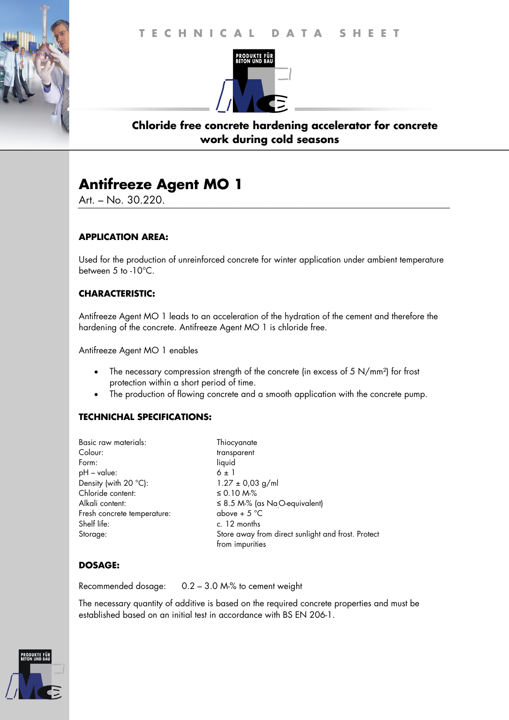# **T E C H N I C A L D A T A S H E E T T E C H N I C A L D A T A S H E E T**



### **Chloride free concrete hardening accelerator for concrete work during cold seasons**

# **Antifreeze Agent MO 1**

Art. – No. 30.220.

### **APPLICATION AREA:**

Used for the production of unreinforced concrete for winter application under ambient temperature between 5 to -10°C.

#### **CHARACTERISTIC:**

Antifreeze Agent MO 1 leads to an acceleration of the hydration of the cement and therefore the hardening of the concrete. Antifreeze Agent MO 1 is chloride free.

Antifreeze Agent MO 1 enables

- The necessary compression strength of the concrete (in excess of 5 N/mm²) for frost protection within a short period of time.
- The production of flowing concrete and a smooth application with the concrete pump.

#### **TECHNICHAL SPECIFICATIONS:**

| above + $5^{\circ}$ C                              |
|----------------------------------------------------|
|                                                    |
| Store away from direct sunlight and frost. Protect |
|                                                    |

#### **DOSAGE:**

Recommended dosage: 0.2 – 3.0 M-% to cement weight

The necessary quantity of additive is based on the required concrete properties and must be established based on an initial test in accordance with BS EN 206-1.